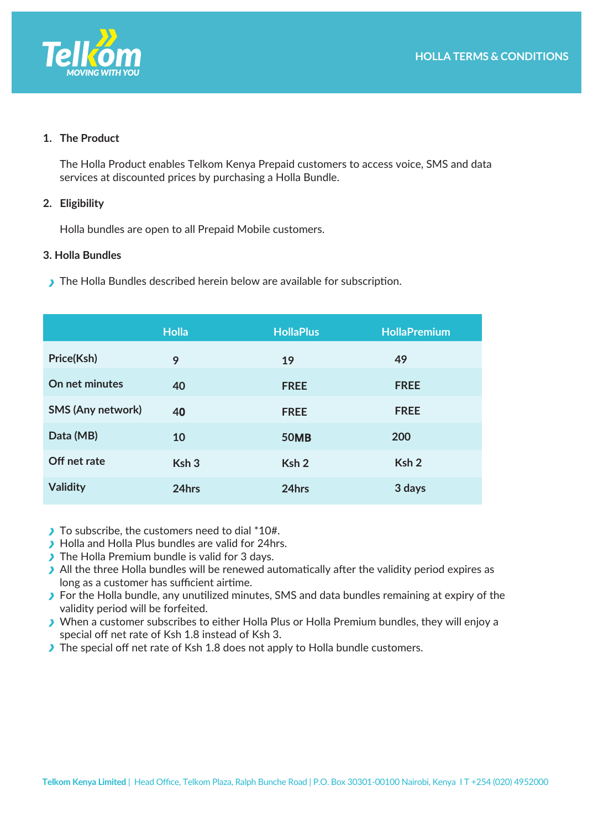

### **1. The Product**

The Holla Product enables Telkom Kenya Prepaid customers to access voice, SMS and data services at discounted prices by purchasing a Holla Bundle.

#### **2. Eligibility**

Holla bundles are open to all Prepaid Mobile customers.

#### **3. Holla Bundles**

The Holla Bundles described herein below are available for subscription.

|                   | <b>Holla</b>     | <b>HollaPlus</b> | <b>HollaPremium</b> |
|-------------------|------------------|------------------|---------------------|
| Price(Ksh)        | 9                | 19               | 49                  |
| On net minutes    | 40               | <b>FREE</b>      | <b>FREE</b>         |
| SMS (Any network) | 40               | <b>FREE</b>      | <b>FREE</b>         |
| Data (MB)         | 10               | <b>50MB</b>      | 200                 |
| Off net rate      | Ksh <sub>3</sub> | Ksh <sub>2</sub> | Ksh <sub>2</sub>    |
| <b>Validity</b>   | 24hrs            | 24hrs            | 3 days              |

- To subscribe, the customers need to dial \*10#.
- **Holla and Holla Plus bundles are valid for 24hrs.**
- The Holla Premium bundle is valid for 3 days.
- $\blacktriangleright$  All the three Holla bundles will be renewed automatically after the validity period expires as long as a customer has sufficient airtime.
- **For the Holla bundle, any unutilized minutes, SMS and data bundles remaining at expiry of the** validity period will be forfeited.
- When a customer subscribes to either Holla Plus or Holla Premium bundles, they will enjoy a special off net rate of Ksh 1.8 instead of Ksh 3.
- The special off net rate of Ksh 1.8 does not apply to Holla bundle customers.